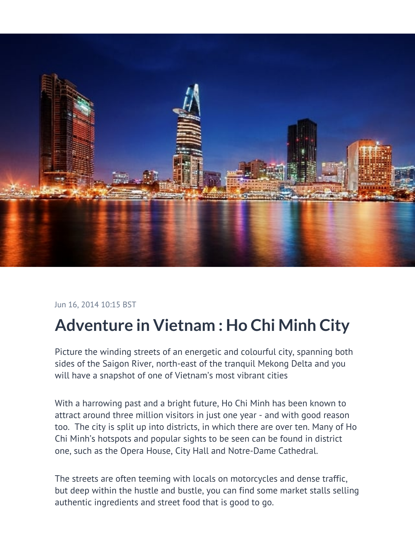

## Jun 16, 2014 10:15 BST

## **Adventure in Vietnam : Ho Chi Minh City**

Picture the winding streets of an energetic and colourful city, spanning both sides of the Saigon River, north-east of the tranquil Mekong Delta and you will have a snapshot of one of Vietnam's most vibrant cities

With a harrowing past and a bright future, Ho Chi Minh has been known to attract around three million visitors in just one year - and with good reason too. The city is split up into districts, in which there are over ten. Many of Ho Chi Minh's hotspots and popular sights to be seen can be found in district one, such as the Opera House, City Hall and Notre-Dame Cathedral.

The streets are often teeming with locals on motorcycles and dense traffic, but deep within the hustle and bustle, you can find some market stalls selling authentic ingredients and street food that is good to go.